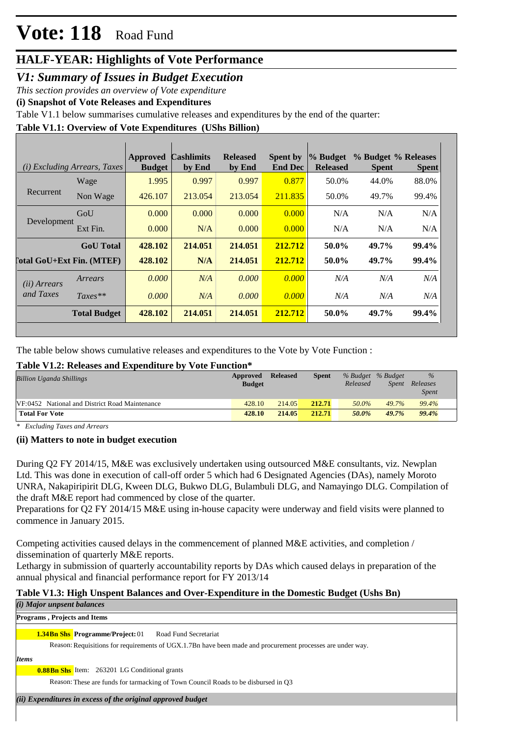# **HALF-YEAR: Highlights of Vote Performance**

# *V1: Summary of Issues in Budget Execution*

*This section provides an overview of Vote expenditure* 

**(i) Snapshot of Vote Releases and Expenditures**

Table V1.1 below summarises cumulative releases and expenditures by the end of the quarter:

## **Table V1.1: Overview of Vote Expenditures (UShs Billion)**

|                                    | (i) Excluding Arrears, Taxes | Approved<br><b>Budget</b> | <b>Cashlimits</b><br>by End | <b>Released</b><br>by End | Spent by<br><b>End Dec</b> | % Budget<br><b>Released</b> | % Budget % Releases<br><b>Spent</b> | <b>Spent</b> |
|------------------------------------|------------------------------|---------------------------|-----------------------------|---------------------------|----------------------------|-----------------------------|-------------------------------------|--------------|
|                                    | Wage                         | 1.995                     | 0.997                       | 0.997                     | 0.877                      | 50.0%                       | 44.0%                               | 88.0%        |
| Recurrent                          | Non Wage                     | 426.107                   | 213.054                     | 213.054                   | 211.835                    | 50.0%                       | 49.7%                               | 99.4%        |
| Development                        | GoU                          | 0.000                     | 0.000                       | 0.000                     | 0.000                      | N/A                         | N/A                                 | N/A          |
|                                    | Ext Fin.                     | 0.000                     | N/A                         | 0.000                     | 0.000                      | N/A                         | N/A                                 | N/A          |
|                                    | <b>GoU</b> Total             | 428.102                   | 214.051                     | 214.051                   | 212.712                    | 50.0%                       | 49.7%                               | 99.4%        |
| [`otal GoU+Ext Fin. (MTEF)         |                              | 428.102                   | N/A                         | 214.051                   | 212.712                    | 50.0%                       | 49.7%                               | 99.4%        |
| ( <i>ii</i> ) Arrears<br>and Taxes | Arrears                      | 0.000                     | N/A                         | 0.000                     | 0.000                      | N/A                         | N/A                                 | N/A          |
|                                    | $Taxes**$                    | 0.000                     | N/A                         | 0.000                     | 0.000                      | N/A                         | N/A                                 | N/A          |
|                                    | <b>Total Budget</b>          | 428.102                   | 214.051                     | 214.051                   | 212.712                    | 50.0%                       | 49.7%                               | 99.4%        |

The table below shows cumulative releases and expenditures to the Vote by Vote Function :

## **Table V1.2: Releases and Expenditure by Vote Function\***

| <b>Billion Uganda Shillings</b>                | Approved<br><b>Budget</b> | <b>Released</b> | Spent  | % Budget % Budget<br>Released | Spent | $\%$<br>Releases<br><b>Spent</b> |  |
|------------------------------------------------|---------------------------|-----------------|--------|-------------------------------|-------|----------------------------------|--|
| VF:0452 National and District Road Maintenance | 428.10                    | 214.05          | 212.71 | 50.0%                         | 49.7% | 99.4%                            |  |
| <b>Total For Vote</b>                          | 428.10                    | 214.05          | 212.71 | 50.0%                         | 49.7% | 99.4%                            |  |

*\* Excluding Taxes and Arrears*

### **(ii) Matters to note in budget execution**

During Q2 FY 2014/15, M&E was exclusively undertaken using outsourced M&E consultants, viz. Newplan Ltd. This was done in execution of call-off order 5 which had 6 Designated Agencies (DAs), namely Moroto UNRA, Nakapiripirit DLG, Kween DLG, Bukwo DLG, Bulambuli DLG, and Namayingo DLG. Compilation of the draft M&E report had commenced by close of the quarter.

Preparations for Q2 FY 2014/15 M&E using in-house capacity were underway and field visits were planned to commence in January 2015.

Competing activities caused delays in the commencement of planned M&E activities, and completion / dissemination of quarterly M&E reports.

Lethargy in submission of quarterly accountability reports by DAs which caused delays in preparation of the annual physical and financial performance report for FY 2013/14

### **Table V1.3: High Unspent Balances and Over-Expenditure in the Domestic Budget (Ushs Bn)** *(i) Major unpsent balances*

## 1.34Bn Shs Programme/Project: 01 Road Fund Secretariat Reason: Requisitions for requirements of UGX.1.7Bn have been made and procurement processes are under way. **Programs , Projects and Items**

*Items*

**0.88Bn Shs** Item: 263201 LG Conditional grants

Reason: These are funds for tarmacking of Town Council Roads to be disbursed in Q3

*(ii) Expenditures in excess of the original approved budget*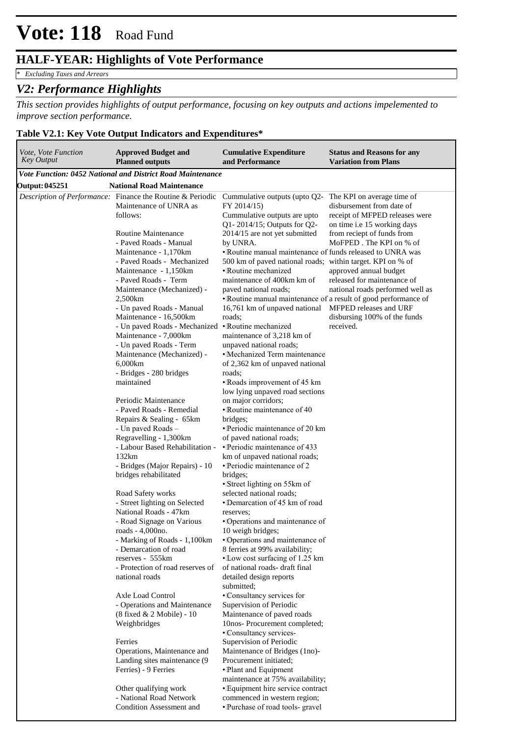## **HALF-YEAR: Highlights of Vote Performance**

*\* Excluding Taxes and Arrears*

## *V2: Performance Highlights*

*This section provides highlights of output performance, focusing on key outputs and actions impelemented to improve section performance.*

### **Table V2.1: Key Vote Output Indicators and Expenditures\***

| Vote, Vote Function<br><b>Key Output</b> | <b>Approved Budget and</b><br><b>Planned outputs</b>                                                    | <b>Cumulative Expenditure</b><br>and Performance                                                                                                 | <b>Status and Reasons for any</b><br><b>Variation from Plans</b>                           |
|------------------------------------------|---------------------------------------------------------------------------------------------------------|--------------------------------------------------------------------------------------------------------------------------------------------------|--------------------------------------------------------------------------------------------|
|                                          | <b>Vote Function: 0452 National and District Road Maintenance</b>                                       |                                                                                                                                                  |                                                                                            |
| <b>Output: 045251</b>                    | <b>National Road Maintenance</b>                                                                        |                                                                                                                                                  |                                                                                            |
|                                          | <i>Description of Performance:</i> Finance the Routine & Periodic<br>Maintenance of UNRA as<br>follows: | Cummulative outputs (upto $Q2$ - The KPI on average time of<br>FY 2014/15)<br>Cummulative outputs are upto<br>Q1-2014/15; Outputs for Q2-        | disbursement from date of<br>receipt of MFPED releases were<br>on time i.e 15 working days |
|                                          | <b>Routine Maintenance</b>                                                                              | 2014/15 are not yet submitted                                                                                                                    | from reciept of funds from                                                                 |
|                                          | - Paved Roads - Manual                                                                                  | by UNRA.                                                                                                                                         | MoFPED. The KPI on % of                                                                    |
|                                          | Maintenance - 1,170km<br>- Paved Roads - Mechanized<br>Maintenance - 1,150km                            | • Routine manual maintenance of funds released to UNRA was<br>500 km of paved national roads; within target. KPI on % of<br>• Routine mechanized | approved annual budget                                                                     |
|                                          | - Paved Roads - Term                                                                                    | maintenance of 400km km of                                                                                                                       | released for maintenance of                                                                |
|                                          | Maintenance (Mechanized) -<br>2,500km<br>- Un paved Roads - Manual                                      | paved national roads;<br>•Routine manual maintenance of a result of good performance of<br>16,761 km of unpaved national                         | national roads performed well as<br>MFPED releases and URF                                 |
|                                          | Maintenance - 16,500km                                                                                  | roads;                                                                                                                                           | disbursing 100% of the funds                                                               |
|                                          | - Un paved Roads - Mechanized                                                                           | • Routine mechanized                                                                                                                             | received.                                                                                  |
|                                          | Maintenance - 7,000km                                                                                   | maintenance of 3,218 km of                                                                                                                       |                                                                                            |
|                                          | - Un paved Roads - Term                                                                                 | unpaved national roads;                                                                                                                          |                                                                                            |
|                                          | Maintenance (Mechanized) -<br>6,000km                                                                   | •Mechanized Term maintenance<br>of 2,362 km of unpaved national                                                                                  |                                                                                            |
|                                          | - Bridges - 280 bridges                                                                                 | roads;                                                                                                                                           |                                                                                            |
|                                          | maintained                                                                                              | •Roads improvement of 45 km                                                                                                                      |                                                                                            |
|                                          |                                                                                                         | low lying unpaved road sections                                                                                                                  |                                                                                            |
|                                          | Periodic Maintenance                                                                                    | on major corridors;                                                                                                                              |                                                                                            |
|                                          | - Paved Roads - Remedial                                                                                | • Routine maintenance of 40                                                                                                                      |                                                                                            |
|                                          | Repairs & Sealing - 65km<br>- Un paved Roads -                                                          | bridges;<br>• Periodic maintenance of 20 km                                                                                                      |                                                                                            |
|                                          | Regravelling - 1,300km                                                                                  | of paved national roads;                                                                                                                         |                                                                                            |
|                                          | - Labour Based Rehabilitation -                                                                         | • Periodic maintenance of 433                                                                                                                    |                                                                                            |
|                                          | 132km                                                                                                   | km of unpaved national roads;                                                                                                                    |                                                                                            |
|                                          | - Bridges (Major Repairs) - 10<br>bridges rehabilitated                                                 | • Periodic maintenance of 2<br>bridges;<br>• Street lighting on 55km of                                                                          |                                                                                            |
|                                          | Road Safety works                                                                                       | selected national roads;                                                                                                                         |                                                                                            |
|                                          | - Street lighting on Selected                                                                           | • Demarcation of 45 km of road                                                                                                                   |                                                                                            |
|                                          | National Roads - 47km                                                                                   | reserves;                                                                                                                                        |                                                                                            |
|                                          | - Road Signage on Various                                                                               | • Operations and maintenance of                                                                                                                  |                                                                                            |
|                                          | roads - 4,000no.                                                                                        | 10 weigh bridges;                                                                                                                                |                                                                                            |
|                                          | - Marking of Roads - 1,100km<br>- Demarcation of road                                                   | • Operations and maintenance of<br>8 ferries at 99% availability;                                                                                |                                                                                            |
|                                          | reserves - 555km                                                                                        | •Low cost surfacing of 1.25 km                                                                                                                   |                                                                                            |
|                                          | - Protection of road reserves of                                                                        | of national roads- draft final                                                                                                                   |                                                                                            |
|                                          | national roads                                                                                          | detailed design reports                                                                                                                          |                                                                                            |
|                                          |                                                                                                         | submitted;                                                                                                                                       |                                                                                            |
|                                          | Axle Load Control<br>- Operations and Maintenance                                                       | •Consultancy services for<br>Supervision of Periodic                                                                                             |                                                                                            |
|                                          | (8 fixed & 2 Mobile) - 10                                                                               | Maintenance of paved roads                                                                                                                       |                                                                                            |
|                                          | Weighbridges                                                                                            | 10nos-Procurement completed;                                                                                                                     |                                                                                            |
|                                          |                                                                                                         | •Consultancy services-                                                                                                                           |                                                                                            |
|                                          | Ferries                                                                                                 | Supervision of Periodic                                                                                                                          |                                                                                            |
|                                          | Operations, Maintenance and                                                                             | Maintenance of Bridges (1no)-                                                                                                                    |                                                                                            |
|                                          | Landing sites maintenance (9)<br>Ferries) - 9 Ferries                                                   | Procurement initiated;<br>• Plant and Equipment                                                                                                  |                                                                                            |
|                                          |                                                                                                         | maintenance at 75% availability;                                                                                                                 |                                                                                            |
|                                          | Other qualifying work                                                                                   | • Equipment hire service contract                                                                                                                |                                                                                            |
|                                          | - National Road Network                                                                                 | commenced in western region;                                                                                                                     |                                                                                            |
|                                          | <b>Condition Assessment and</b>                                                                         | • Purchase of road tools- gravel                                                                                                                 |                                                                                            |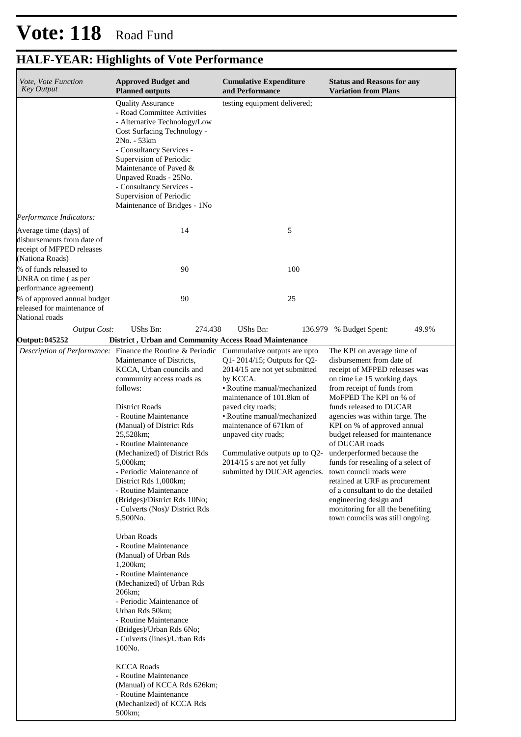# **HALF-YEAR: Highlights of Vote Performance**

| Vote, Vote Function<br><b>Key Output</b>                                                             | <b>Approved Budget and</b><br><b>Planned outputs</b>                                                                                                                                                                                                                                                                                                                                                                                                                                                                                                                                                                                                                                                                                                                                                                                                                                                                                                             | <b>Cumulative Expenditure</b><br>and Performance                                                                                                                                                                                                                                                                                                                              | <b>Status and Reasons for any</b><br><b>Variation from Plans</b>                                                                                                                                                                                                                                                                                                                                                                                                                                                                                                                |  |  |  |
|------------------------------------------------------------------------------------------------------|------------------------------------------------------------------------------------------------------------------------------------------------------------------------------------------------------------------------------------------------------------------------------------------------------------------------------------------------------------------------------------------------------------------------------------------------------------------------------------------------------------------------------------------------------------------------------------------------------------------------------------------------------------------------------------------------------------------------------------------------------------------------------------------------------------------------------------------------------------------------------------------------------------------------------------------------------------------|-------------------------------------------------------------------------------------------------------------------------------------------------------------------------------------------------------------------------------------------------------------------------------------------------------------------------------------------------------------------------------|---------------------------------------------------------------------------------------------------------------------------------------------------------------------------------------------------------------------------------------------------------------------------------------------------------------------------------------------------------------------------------------------------------------------------------------------------------------------------------------------------------------------------------------------------------------------------------|--|--|--|
|                                                                                                      | <b>Quality Assurance</b><br>- Road Committee Activities<br>- Alternative Technology/Low<br>Cost Surfacing Technology -<br>2No. - 53km<br>- Consultancy Services -<br>Supervision of Periodic<br>Maintenance of Paved &<br>Unpaved Roads - 25No.<br>- Consultancy Services -<br>Supervision of Periodic<br>Maintenance of Bridges - 1No                                                                                                                                                                                                                                                                                                                                                                                                                                                                                                                                                                                                                           | testing equipment delivered;                                                                                                                                                                                                                                                                                                                                                  |                                                                                                                                                                                                                                                                                                                                                                                                                                                                                                                                                                                 |  |  |  |
| Performance Indicators:                                                                              |                                                                                                                                                                                                                                                                                                                                                                                                                                                                                                                                                                                                                                                                                                                                                                                                                                                                                                                                                                  |                                                                                                                                                                                                                                                                                                                                                                               |                                                                                                                                                                                                                                                                                                                                                                                                                                                                                                                                                                                 |  |  |  |
| Average time (days) of<br>disbursements from date of<br>receipt of MFPED releases<br>(Nationa Roads) | 14                                                                                                                                                                                                                                                                                                                                                                                                                                                                                                                                                                                                                                                                                                                                                                                                                                                                                                                                                               | 5                                                                                                                                                                                                                                                                                                                                                                             |                                                                                                                                                                                                                                                                                                                                                                                                                                                                                                                                                                                 |  |  |  |
| % of funds released to<br>UNRA on time (as per<br>performance agreement)                             | 90                                                                                                                                                                                                                                                                                                                                                                                                                                                                                                                                                                                                                                                                                                                                                                                                                                                                                                                                                               | 100                                                                                                                                                                                                                                                                                                                                                                           |                                                                                                                                                                                                                                                                                                                                                                                                                                                                                                                                                                                 |  |  |  |
| % of approved annual budget<br>released for maintenance of<br>National roads                         | 90                                                                                                                                                                                                                                                                                                                                                                                                                                                                                                                                                                                                                                                                                                                                                                                                                                                                                                                                                               | 25                                                                                                                                                                                                                                                                                                                                                                            |                                                                                                                                                                                                                                                                                                                                                                                                                                                                                                                                                                                 |  |  |  |
| <b>Output Cost:</b>                                                                                  | UShs Bn:<br>274.438                                                                                                                                                                                                                                                                                                                                                                                                                                                                                                                                                                                                                                                                                                                                                                                                                                                                                                                                              | <b>UShs Bn:</b>                                                                                                                                                                                                                                                                                                                                                               | 136.979 % Budget Spent:<br>49.9%                                                                                                                                                                                                                                                                                                                                                                                                                                                                                                                                                |  |  |  |
| Output: 045252                                                                                       | <b>District</b> , Urban and Community Access Road Maintenance                                                                                                                                                                                                                                                                                                                                                                                                                                                                                                                                                                                                                                                                                                                                                                                                                                                                                                    |                                                                                                                                                                                                                                                                                                                                                                               |                                                                                                                                                                                                                                                                                                                                                                                                                                                                                                                                                                                 |  |  |  |
|                                                                                                      | Description of Performance: Finance the Routine & Periodic Cummulative outputs are upto<br>Maintenance of Districts,<br>KCCA, Urban councils and<br>community access roads as<br>follows:<br>District Roads<br>- Routine Maintenance<br>(Manual) of District Rds<br>25,528km;<br>- Routine Maintenance<br>(Mechanized) of District Rds<br>5,000 km;<br>- Periodic Maintenance of<br>District Rds 1,000km;<br>- Routine Maintenance<br>(Bridges)/District Rds 10No;<br>- Culverts (Nos)/ District Rds<br>5,500No.<br><b>Urban Roads</b><br>- Routine Maintenance<br>(Manual) of Urban Rds<br>1,200 km;<br>- Routine Maintenance<br>(Mechanized) of Urban Rds<br>206km;<br>- Periodic Maintenance of<br>Urban Rds 50km;<br>- Routine Maintenance<br>(Bridges)/Urban Rds 6No;<br>- Culverts (lines)/Urban Rds<br>100No.<br><b>KCCA Roads</b><br>- Routine Maintenance<br>(Manual) of KCCA Rds 626km;<br>- Routine Maintenance<br>(Mechanized) of KCCA Rds<br>500km; | $Q1 - 2014/15$ ; Outputs for $Q2 -$<br>2014/15 are not yet submitted<br>by KCCA.<br>• Routine manual/mechanized<br>maintenance of 101.8km of<br>paved city roads;<br>• Routine manual/mechanized<br>maintenance of 671 km of<br>unpaved city roads;<br>Cummulative outputs up to Q2-<br>$2014/15$ s are not yet fully<br>submitted by DUCAR agencies. town council roads were | The KPI on average time of<br>disbursement from date of<br>receipt of MFPED releases was<br>on time i.e 15 working days<br>from receipt of funds from<br>MoFPED The KPI on % of<br>funds released to DUCAR<br>agencies was within targe. The<br>KPI on % of approved annual<br>budget released for maintenance<br>of DUCAR roads<br>underperformed because the<br>funds for resealing of a select of<br>retained at URF as procurement<br>of a consultant to do the detailed<br>engineering design and<br>monitoring for all the benefiting<br>town councils was still ongoing. |  |  |  |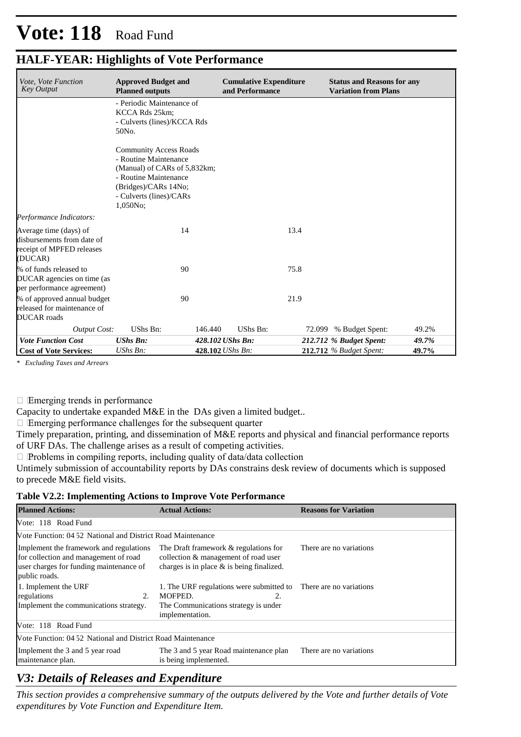# **HALF-YEAR: Highlights of Vote Performance**

| <i>Vote, Vote Function</i><br><b>Key Output</b>                                              | <b>Approved Budget and</b><br><b>Planned outputs</b>                                                                                                                           | <b>Cumulative Expenditure</b><br>and Performance |        | <b>Status and Reasons for any</b><br><b>Variation from Plans</b> |       |
|----------------------------------------------------------------------------------------------|--------------------------------------------------------------------------------------------------------------------------------------------------------------------------------|--------------------------------------------------|--------|------------------------------------------------------------------|-------|
|                                                                                              | - Periodic Maintenance of<br>KCCA Rds 25km;<br>- Culverts (lines)/KCCA Rds<br>50No.                                                                                            |                                                  |        |                                                                  |       |
|                                                                                              | <b>Community Access Roads</b><br>- Routine Maintenance<br>(Manual) of CARs of 5,832km;<br>- Routine Maintenance<br>(Bridges)/CARs 14No;<br>- Culverts (lines)/CARs<br>1,050No: |                                                  |        |                                                                  |       |
| Performance Indicators:                                                                      |                                                                                                                                                                                |                                                  |        |                                                                  |       |
| Average time (days) of<br>disbursements from date of<br>receipt of MPFED releases<br>(DUCAR) | 14                                                                                                                                                                             |                                                  | 13.4   |                                                                  |       |
| % of funds released to<br>DUCAR agencies on time (as<br>per performance agreement)           | 90                                                                                                                                                                             |                                                  | 75.8   |                                                                  |       |
| % of approved annual budget<br>released for maintenance of<br><b>DUCAR</b> roads             | 90                                                                                                                                                                             |                                                  | 21.9   |                                                                  |       |
| <b>Output Cost:</b>                                                                          | UShs Bn:                                                                                                                                                                       | 146.440<br>UShs Bn:                              | 72.099 | % Budget Spent:                                                  | 49.2% |
| <b>Vote Function Cost</b>                                                                    | <b>UShs Bn:</b>                                                                                                                                                                | 428.102 UShs Bn:                                 |        | 212.712 % Budget Spent:                                          | 49.7% |
| <b>Cost of Vote Services:</b>                                                                | UShs Bn:                                                                                                                                                                       | 428.102 UShs Bn:                                 |        | <b>212.712</b> % Budget Spent:                                   | 49.7% |

*\* Excluding Taxes and Arrears*

Emerging trends in performance

Capacity to undertake expanded M&E in the DAs given a limited budget..

Emerging performance challenges for the subsequent quarter

Timely preparation, printing, and dissemination of M&E reports and physical and financial performance reports of URF DAs. The challenge arises as a result of competing activities.

 $\Box$  Problems in compiling reports, including quality of data/data collection

Untimely submission of accountability reports by DAs constrains desk review of documents which is supposed to precede M&E field visits.

#### **Table V2.2: Implementing Actions to Improve Vote Performance**

| <b>Planned Actions:</b>                                                                                                                      | <b>Actual Actions:</b>                                                                                                                       | <b>Reasons for Variation</b> |
|----------------------------------------------------------------------------------------------------------------------------------------------|----------------------------------------------------------------------------------------------------------------------------------------------|------------------------------|
| Vote: 118 Road Fund                                                                                                                          |                                                                                                                                              |                              |
| Vote Function: 04.52 National and District Road Maintenance                                                                                  |                                                                                                                                              |                              |
| Implement the framework and regulations<br>for collection and management of road<br>user charges for funding maintenance of<br>public roads. | The Draft framework & regulations for<br>collection & management of road user<br>charges is in place $\&$ is being finalized.                | There are no variations      |
| 1. Implement the URF<br>regulations<br>2.<br>Implement the communications strategy.                                                          | 1. The URF regulations were submitted to There are no variations<br>MOFPED.<br>2.<br>The Communications strategy is under<br>implementation. |                              |
| Vote: 118 Road Fund                                                                                                                          |                                                                                                                                              |                              |
| Vote Function: 04.52 National and District Road Maintenance                                                                                  |                                                                                                                                              |                              |
| Implement the 3 and 5 year road<br>maintenance plan.                                                                                         | The 3 and 5 year Road maintenance plan<br>is being implemented.                                                                              | There are no variations      |

## *V3: Details of Releases and Expenditure*

*This section provides a comprehensive summary of the outputs delivered by the Vote and further details of Vote expenditures by Vote Function and Expenditure Item.*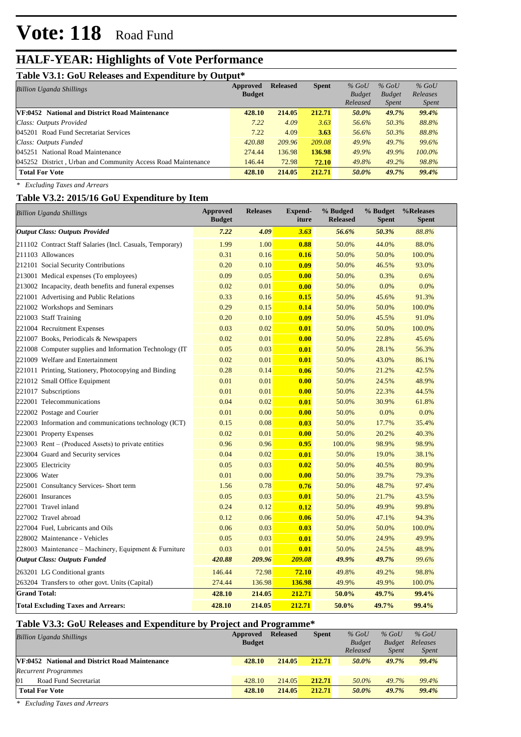# **HALF-YEAR: Highlights of Vote Performance**

### **Table V3.1: GoU Releases and Expenditure by Output\***

| $-11.77$ . $-11.77$ . $-11.77$<br>------                     | Approved      | <b>Released</b> | <b>Spent</b> | $%$ GoU       | $%$ GoU       | $%$ GoU      |  |
|--------------------------------------------------------------|---------------|-----------------|--------------|---------------|---------------|--------------|--|
| <b>Billion Uganda Shillings</b>                              | <b>Budget</b> |                 |              | <b>Budget</b> | <b>Budget</b> | Releases     |  |
|                                                              |               |                 |              | Released      | <b>Spent</b>  | <i>Spent</i> |  |
| VF:0452 National and District Road Maintenance               | 428.10        | 214.05          | 212.71       | 50.0%         | 49.7%         | 99.4%        |  |
| Class: Outputs Provided                                      | 7.22          | 4.09            | 3.63         | 56.6%         | 50.3%         | 88.8%        |  |
| 045201 Road Fund Secretariat Services                        | 7.22          | 4.09            | 3.63         | 56.6%         | 50.3%         | 88.8%        |  |
| Class: Outputs Funded                                        | 420.88        | 209.96          | 209.08       | 49.9%         | 49.7%         | 99.6%        |  |
| 045251 National Road Maintenance                             | 274.44        | 136.98          | 136.98       | 49.9%         | 49.9%         | $100.0\%$    |  |
| 045252 District, Urban and Community Access Road Maintenance | 146.44        | 72.98           | 72.10        | 49.8%         | $49.2\%$      | 98.8%        |  |
| <b>Total For Vote</b>                                        | 428.10        | 214.05          | 212.71       | 50.0%         | 49.7%         | 99.4%        |  |

*\* Excluding Taxes and Arrears*

### **Table V3.2: 2015/16 GoU Expenditure by Item**

| Billion Uganda Shillings                                  | <b>Approved</b><br><b>Budget</b> | <b>Releases</b> | <b>Expend-</b><br>iture | % Budged<br><b>Released</b> | %Releases<br><b>Spent</b> |        |
|-----------------------------------------------------------|----------------------------------|-----------------|-------------------------|-----------------------------|---------------------------|--------|
| <b>Output Class: Outputs Provided</b>                     | 7.22                             | 4.09            | 3.63                    | 56.6%                       | 50.3%                     | 88.8%  |
| 211102 Contract Staff Salaries (Incl. Casuals, Temporary) | 1.99                             | 1.00            | 0.88                    | 50.0%                       | 44.0%                     | 88.0%  |
| 211103 Allowances                                         | 0.31                             | 0.16            | 0.16                    | 50.0%                       | 50.0%                     | 100.0% |
| 212101 Social Security Contributions                      | 0.20                             | 0.10            | 0.09                    | 50.0%                       | 46.5%                     | 93.0%  |
| 213001 Medical expenses (To employees)                    | 0.09                             | 0.05            | 0.00                    | 50.0%                       | 0.3%                      | 0.6%   |
| 213002 Incapacity, death benefits and funeral expenses    | 0.02                             | 0.01            | 0.00                    | 50.0%                       | 0.0%                      | 0.0%   |
| 221001 Advertising and Public Relations                   | 0.33                             | 0.16            | 0.15                    | 50.0%                       | 45.6%                     | 91.3%  |
| 221002 Workshops and Seminars                             | 0.29                             | 0.15            | 0.14                    | 50.0%                       | 50.0%                     | 100.0% |
| 221003 Staff Training                                     | 0.20                             | 0.10            | 0.09                    | 50.0%                       | 45.5%                     | 91.0%  |
| 221004 Recruitment Expenses                               | 0.03                             | 0.02            | 0.01                    | 50.0%                       | 50.0%                     | 100.0% |
| 221007 Books, Periodicals & Newspapers                    | 0.02                             | 0.01            | 0.00                    | 50.0%                       | 22.8%                     | 45.6%  |
| 221008 Computer supplies and Information Technology (IT)  | 0.05                             | 0.03            | 0.01                    | 50.0%                       | 28.1%                     | 56.3%  |
| 221009 Welfare and Entertainment                          | 0.02                             | 0.01            | 0.01                    | 50.0%                       | 43.0%                     | 86.1%  |
| 221011 Printing, Stationery, Photocopying and Binding     | 0.28                             | 0.14            | 0.06                    | 50.0%                       | 21.2%                     | 42.5%  |
| 221012 Small Office Equipment                             | 0.01                             | 0.01            | 0.00                    | 50.0%                       | 24.5%                     | 48.9%  |
| 221017 Subscriptions                                      | 0.01                             | 0.01            | 0.00                    | 50.0%                       | 22.3%                     | 44.5%  |
| 222001 Telecommunications                                 | 0.04                             | 0.02            | 0.01                    | 50.0%                       | 30.9%                     | 61.8%  |
| 222002 Postage and Courier                                | 0.01                             | 0.00            | 0.00                    | 50.0%                       | 0.0%                      | 0.0%   |
| 222003 Information and communications technology (ICT)    | 0.15                             | 0.08            | 0.03                    | 50.0%                       | 17.7%                     | 35.4%  |
| 223001 Property Expenses                                  | 0.02                             | 0.01            | 0.00                    | 50.0%                       | 20.2%                     | 40.3%  |
| 223003 Rent – (Produced Assets) to private entities       | 0.96                             | 0.96            | 0.95                    | 100.0%                      | 98.9%                     | 98.9%  |
| 223004 Guard and Security services                        | 0.04                             | 0.02            | 0.01                    | 50.0%                       | 19.0%                     | 38.1%  |
| 223005 Electricity                                        | 0.05                             | 0.03            | 0.02                    | 50.0%                       | 40.5%                     | 80.9%  |
| 223006 Water                                              | 0.01                             | 0.00            | 0.00                    | 50.0%                       | 39.7%                     | 79.3%  |
| 225001 Consultancy Services- Short term                   | 1.56                             | 0.78            | 0.76                    | 50.0%                       | 48.7%                     | 97.4%  |
| 226001 Insurances                                         | 0.05                             | 0.03            | 0.01                    | 50.0%                       | 21.7%                     | 43.5%  |
| 227001 Travel inland                                      | 0.24                             | 0.12            | 0.12                    | 50.0%                       | 49.9%                     | 99.8%  |
| 227002 Travel abroad                                      | 0.12                             | 0.06            | 0.06                    | 50.0%                       | 47.1%                     | 94.3%  |
| 227004 Fuel, Lubricants and Oils                          | 0.06                             | 0.03            | 0.03                    | 50.0%                       | 50.0%                     | 100.0% |
| 228002 Maintenance - Vehicles                             | 0.05                             | 0.03            | 0.01                    | 50.0%                       | 24.9%                     | 49.9%  |
| 228003 Maintenance – Machinery, Equipment & Furniture     | 0.03                             | 0.01            | 0.01                    | 50.0%                       | 24.5%                     | 48.9%  |
| <b>Output Class: Outputs Funded</b>                       | 420.88                           | 209.96          | 209.08                  | 49.9%                       | 49.7%                     | 99.6%  |
| 263201 LG Conditional grants                              | 146.44                           | 72.98           | 72.10                   | 49.8%                       | 49.2%                     | 98.8%  |
| 263204 Transfers to other govt. Units (Capital)           | 274.44                           | 136.98          | 136.98                  | 49.9%                       | 49.9%                     | 100.0% |
| <b>Grand Total:</b>                                       | 428.10                           | 214.05          | 212.71                  | 50.0%                       | 49.7%                     | 99.4%  |
| <b>Total Excluding Taxes and Arrears:</b>                 | 428.10                           | 214.05          | 212.71                  | 50.0%                       | 49.7%                     | 99.4%  |

## **Table V3.3: GoU Releases and Expenditure by Project and Programme\***

| <b>Billion Uganda Shillings</b>                       | Approved      | <b>Released</b> | <b>Spent</b> | $%$ GoU       | $%$ GoU       | $%$ GoU      |  |
|-------------------------------------------------------|---------------|-----------------|--------------|---------------|---------------|--------------|--|
|                                                       | <b>Budget</b> |                 |              | <b>Budget</b> | <b>Budget</b> | Releases     |  |
|                                                       |               |                 |              | Released      | <b>Spent</b>  | <i>Spent</i> |  |
| <b>VF:0452</b> National and District Road Maintenance | 428.10        | 214.05          | 212.71       | 50.0%         | 49.7%         | 99.4%        |  |
| <b>Recurrent Programmes</b>                           |               |                 |              |               |               |              |  |
| 01<br>Road Fund Secretariat                           | 428.10        | 214.05          | 212.71       | 50.0%         | 49.7%         | 99.4%        |  |
| <b>Total For Vote</b>                                 |               | 214.05          | 212.71       | 50.0%         | 49.7%         | 99.4%        |  |

*\* Excluding Taxes and Arrears*